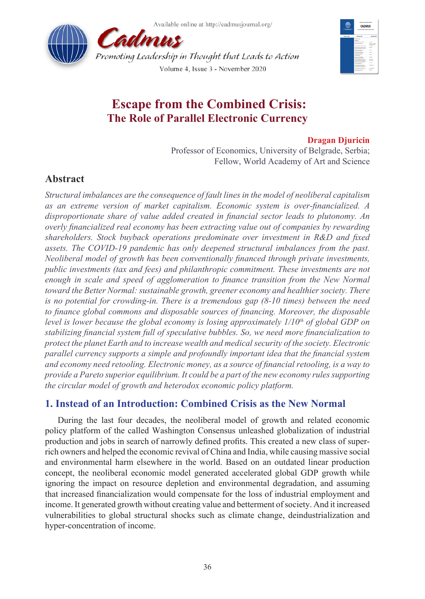Available online at http://cadmusiournal.org/





# **Escape from the Combined Crisis: The Role of Parallel Electronic Currency**

### **Dragan Djuricin**

Professor of Economics, University of Belgrade, Serbia; Fellow, World Academy of Art and Science

## **Abstract**

*Structural imbalances are the consequence of fault lines in the model of neoliberal capitalism as an extreme version of market capitalism. Economic system is over-financialized. A disproportionate share of value added created in financial sector leads to plutonomy. An overly financialized real economy has been extracting value out of companies by rewarding shareholders. Stock buyback operations predominate over investment in R&D and fixed assets. The COVID-19 pandemic has only deepened structural imbalances from the past. Neoliberal model of growth has been conventionally financed through private investments, public investments (tax and fees) and philanthropic commitment. These investments are not*  enough in scale and speed of agglomeration to finance transition from the New Normal *toward the Better Normal: sustainable growth, greener economy and healthier society. There is no potential for crowding-in. There is a tremendous gap (8-10 times) between the need to finance global commons and disposable sources of financing. Moreover, the disposable level is lower because the global economy is losing approximately 1/10th of global GDP on stabilizing financial system full of speculative bubbles. So, we need more financialization to protect the planet Earth and to increase wealth and medical security of the society. Electronic parallel currency supports a simple and profoundly important idea that the financial system and economy need retooling. Electronic money, as a source of financial retooling, is a way to provide a Pareto superior equilibrium. It could be a part of the new economy rules supporting the circular model of growth and heterodox economic policy platform.* 

## **1. Instead of an Introduction: Combined Crisis as the New Normal**

During the last four decades, the neoliberal model of growth and related economic policy platform of the called Washington Consensus unleashed globalization of industrial production and jobs in search of narrowly defined profits. This created a new class of superrich owners and helped the economic revival of China and India, while causing massive social and environmental harm elsewhere in the world. Based on an outdated linear production concept, the neoliberal economic model generated accelerated global GDP growth while ignoring the impact on resource depletion and environmental degradation, and assuming that increased financialization would compensate for the loss of industrial employment and income. It generated growth without creating value and betterment of society. And it increased vulnerabilities to global structural shocks such as climate change, deindustrialization and hyper-concentration of income.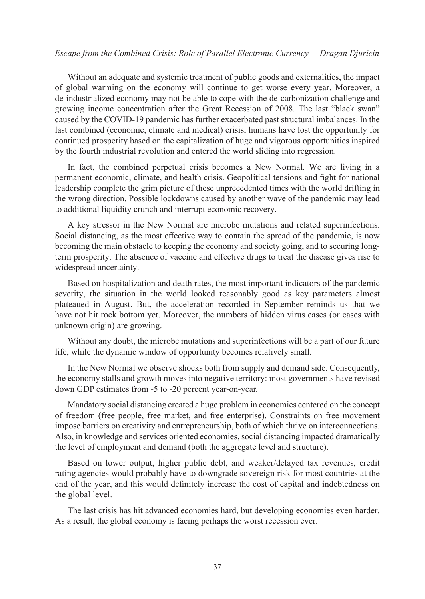#### *Escape from the Combined Crisis: Role of Parallel Electronic Currency Dragan Djuricin*

Without an adequate and systemic treatment of public goods and externalities, the impact of global warming on the economy will continue to get worse every year. Moreover, a de-industrialized economy may not be able to cope with the de-carbonization challenge and growing income concentration after the Great Recession of 2008. The last "black swan" caused by the COVID-19 pandemic has further exacerbated past structural imbalances. In the last combined (economic, climate and medical) crisis, humans have lost the opportunity for continued prosperity based on the capitalization of huge and vigorous opportunities inspired by the fourth industrial revolution and entered the world sliding into regression.

In fact, the combined perpetual crisis becomes a New Normal. We are living in a permanent economic, climate, and health crisis. Geopolitical tensions and fight for national leadership complete the grim picture of these unprecedented times with the world drifting in the wrong direction. Possible lockdowns caused by another wave of the pandemic may lead to additional liquidity crunch and interrupt economic recovery.

A key stressor in the New Normal are microbe mutations and related superinfections. Social distancing, as the most effective way to contain the spread of the pandemic, is now becoming the main obstacle to keeping the economy and society going, and to securing longterm prosperity. The absence of vaccine and effective drugs to treat the disease gives rise to widespread uncertainty.

Based on hospitalization and death rates, the most important indicators of the pandemic severity, the situation in the world looked reasonably good as key parameters almost plateaued in August. But, the acceleration recorded in September reminds us that we have not hit rock bottom yet. Moreover, the numbers of hidden virus cases (or cases with unknown origin) are growing.

Without any doubt, the microbe mutations and superinfections will be a part of our future life, while the dynamic window of opportunity becomes relatively small.

In the New Normal we observe shocks both from supply and demand side. Consequently, the economy stalls and growth moves into negative territory: most governments have revised down GDP estimates from -5 to -20 percent year-on-year.

Mandatory social distancing created a huge problem in economies centered on the concept of freedom (free people, free market, and free enterprise). Constraints on free movement impose barriers on creativity and entrepreneurship, both of which thrive on interconnections. Also, in knowledge and services oriented economies, social distancing impacted dramatically the level of employment and demand (both the aggregate level and structure).

Based on lower output, higher public debt, and weaker/delayed tax revenues, credit rating agencies would probably have to downgrade sovereign risk for most countries at the end of the year, and this would definitely increase the cost of capital and indebtedness on the global level.

The last crisis has hit advanced economies hard, but developing economies even harder. As a result, the global economy is facing perhaps the worst recession ever.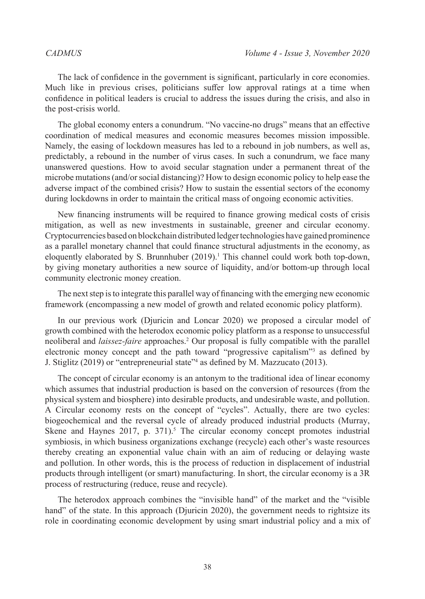The lack of confidence in the government is significant, particularly in core economies. Much like in previous crises, politicians suffer low approval ratings at a time when confidence in political leaders is crucial to address the issues during the crisis, and also in the post-crisis world.

The global economy enters a conundrum. "No vaccine-no drugs" means that an effective coordination of medical measures and economic measures becomes mission impossible. Namely, the easing of lockdown measures has led to a rebound in job numbers, as well as, predictably, a rebound in the number of virus cases. In such a conundrum, we face many unanswered questions. How to avoid secular stagnation under a permanent threat of the microbe mutations (and/or social distancing)? How to design economic policy to help ease the adverse impact of the combined crisis? How to sustain the essential sectors of the economy during lockdowns in order to maintain the critical mass of ongoing economic activities.

New financing instruments will be required to finance growing medical costs of crisis mitigation, as well as new investments in sustainable, greener and circular economy. Cryptocurrencies based on blockchain distributed ledger technologies have gained prominence as a parallel monetary channel that could finance structural adjustments in the economy, as eloquently elaborated by S. Brunnhuber  $(2019)$ .<sup>1</sup> This channel could work both top-down, by giving monetary authorities a new source of liquidity, and/or bottom-up through local community electronic money creation.

The next step is to integrate this parallel way of financing with the emerging new economic framework (encompassing a new model of growth and related economic policy platform).

In our previous work (Djuricin and Loncar 2020) we proposed a circular model of growth combined with the heterodox economic policy platform as a response to unsuccessful neoliberal and *laissez-faire* approaches.<sup>[2](#page-12-1)</sup> Our proposal is fully compatible with the parallel electronic money concept and the path toward "progressive capitalism"[3](#page-12-2) as defined by J. Stiglitz (2019) or "entrepreneurial state"[4](#page-12-3) as defined by M. Mazzucato (2013).

The concept of circular economy is an antonym to the traditional idea of linear economy which assumes that industrial production is based on the conversion of resources (from the physical system and biosphere) into desirable products, and undesirable waste, and pollution. A Circular economy rests on the concept of "cycles". Actually, there are two cycles: biogeochemical and the reversal cycle of already produced industrial products (Murray, Skene and Haynes  $2017$ , p.  $371$ ).<sup>[5](#page-12-4)</sup> The circular economy concept promotes industrial symbiosis, in which business organizations exchange (recycle) each other's waste resources thereby creating an exponential value chain with an aim of reducing or delaying waste and pollution. In other words, this is the process of reduction in displacement of industrial products through intelligent (or smart) manufacturing. In short, the circular economy is a 3R process of restructuring (reduce, reuse and recycle).

The heterodox approach combines the "invisible hand" of the market and the "visible hand" of the state. In this approach (Djuricin 2020), the government needs to rightsize its role in coordinating economic development by using smart industrial policy and a mix of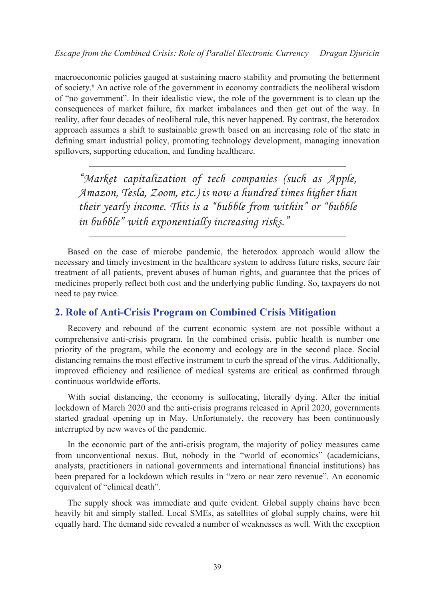macroeconomic policies gauged at sustaining macro stability and promoting the betterment of society.[6](#page-12-5) An active role of the government in economy contradicts the neoliberal wisdom of "no government". In their idealistic view, the role of the government is to clean up the consequences of market failure, fix market imbalances and then get out of the way. In reality, after four decades of neoliberal rule, this never happened. By contrast, the heterodox approach assumes a shift to sustainable growth based on an increasing role of the state in defining smart industrial policy, promoting technology development, managing innovation spillovers, supporting education, and funding healthcare.

*"Market capitalization of tech companies (such as Apple, Amazon, Tesla, Zoom, etc.) is now a hundred times higher than their yearly income. This is a "bubble from within" or "bubble in bubble" with exponentially increasing risks."*

Based on the case of microbe pandemic, the heterodox approach would allow the necessary and timely investment in the healthcare system to address future risks, secure fair treatment of all patients, prevent abuses of human rights, and guarantee that the prices of medicines properly reflect both cost and the underlying public funding. So, taxpayers do not need to pay twice.

### **2. Role of Anti-Crisis Program on Combined Crisis Mitigation**

Recovery and rebound of the current economic system are not possible without a comprehensive anti-crisis program. In the combined crisis, public health is number one priority of the program, while the economy and ecology are in the second place. Social distancing remains the most effective instrument to curb the spread of the virus. Additionally, improved efficiency and resilience of medical systems are critical as confirmed through continuous worldwide efforts.

With social distancing, the economy is suffocating, literally dying. After the initial lockdown of March 2020 and the anti-crisis programs released in April 2020, governments started gradual opening up in May. Unfortunately, the recovery has been continuously interrupted by new waves of the pandemic.

In the economic part of the anti-crisis program, the majority of policy measures came from unconventional nexus. But, nobody in the "world of economics" (academicians, analysts, practitioners in national governments and international financial institutions) has been prepared for a lockdown which results in "zero or near zero revenue". An economic equivalent of "clinical death".

The supply shock was immediate and quite evident. Global supply chains have been heavily hit and simply stalled. Local SMEs, as satellites of global supply chains, were hit equally hard. The demand side revealed a number of weaknesses as well. With the exception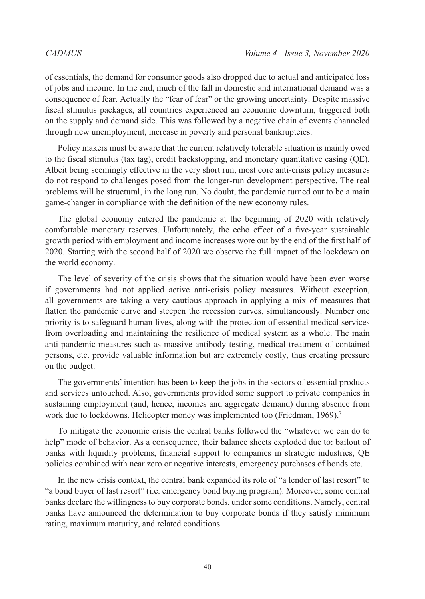of essentials, the demand for consumer goods also dropped due to actual and anticipated loss of jobs and income. In the end, much of the fall in domestic and international demand was a consequence of fear. Actually the "fear of fear" or the growing uncertainty. Despite massive fiscal stimulus packages, all countries experienced an economic downturn, triggered both on the supply and demand side. This was followed by a negative chain of events channeled through new unemployment, increase in poverty and personal bankruptcies.

Policy makers must be aware that the current relatively tolerable situation is mainly owed to the fiscal stimulus (tax tag), credit backstopping, and monetary quantitative easing (QE). Albeit being seemingly effective in the very short run, most core anti-crisis policy measures do not respond to challenges posed from the longer-run development perspective. The real problems will be structural, in the long run. No doubt, the pandemic turned out to be a main game-changer in compliance with the definition of the new economy rules.

The global economy entered the pandemic at the beginning of 2020 with relatively comfortable monetary reserves. Unfortunately, the echo effect of a five-year sustainable growth period with employment and income increases wore out by the end of the first half of 2020. Starting with the second half of 2020 we observe the full impact of the lockdown on the world economy.

The level of severity of the crisis shows that the situation would have been even worse if governments had not applied active anti-crisis policy measures. Without exception, all governments are taking a very cautious approach in applying a mix of measures that flatten the pandemic curve and steepen the recession curves, simultaneously. Number one priority is to safeguard human lives, along with the protection of essential medical services from overloading and maintaining the resilience of medical system as a whole. The main anti-pandemic measures such as massive antibody testing, medical treatment of contained persons, etc. provide valuable information but are extremely costly, thus creating pressure on the budget.

The governments' intention has been to keep the jobs in the sectors of essential products and services untouched. Also, governments provided some support to private companies in sustaining employment (and, hence, incomes and aggregate demand) during absence from work due to lockdowns. Helicopter money was implemented too (Friedman, 1969).<sup>[7](#page-12-6)</sup>

To mitigate the economic crisis the central banks followed the "whatever we can do to help" mode of behavior. As a consequence, their balance sheets exploded due to: bailout of banks with liquidity problems, financial support to companies in strategic industries, QE policies combined with near zero or negative interests, emergency purchases of bonds etc.

In the new crisis context, the central bank expanded its role of "a lender of last resort" to "a bond buyer of last resort" (i.e. emergency bond buying program). Moreover, some central banks declare the willingness to buy corporate bonds, under some conditions. Namely, central banks have announced the determination to buy corporate bonds if they satisfy minimum rating, maximum maturity, and related conditions.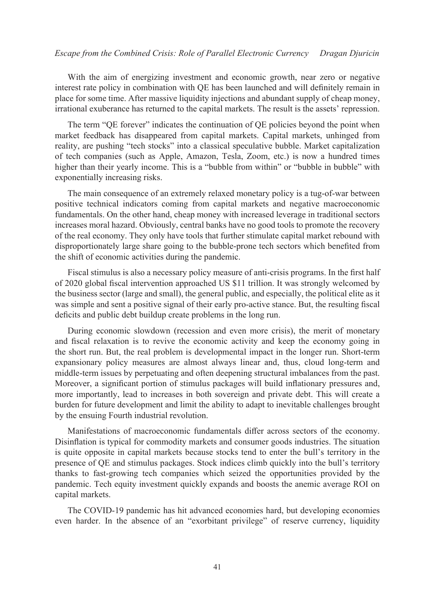With the aim of energizing investment and economic growth, near zero or negative interest rate policy in combination with QE has been launched and will definitely remain in place for some time. After massive liquidity injections and abundant supply of cheap money, irrational exuberance has returned to the capital markets. The result is the assets' repression.

The term "QE forever" indicates the continuation of QE policies beyond the point when market feedback has disappeared from capital markets. Capital markets, unhinged from reality, are pushing "tech stocks" into a classical speculative bubble. Market capitalization of tech companies (such as Apple, Amazon, Tesla, Zoom, etc.) is now a hundred times higher than their yearly income. This is a "bubble from within" or "bubble in bubble" with exponentially increasing risks.

The main consequence of an extremely relaxed monetary policy is a tug-of-war between positive technical indicators coming from capital markets and negative macroeconomic fundamentals. On the other hand, cheap money with increased leverage in traditional sectors increases moral hazard. Obviously, central banks have no good tools to promote the recovery of the real economy. They only have tools that further stimulate capital market rebound with disproportionately large share going to the bubble-prone tech sectors which benefited from the shift of economic activities during the pandemic.

Fiscal stimulus is also a necessary policy measure of anti-crisis programs. In the first half of 2020 global fiscal intervention approached US \$11 trillion. It was strongly welcomed by the business sector (large and small), the general public, and especially, the political elite as it was simple and sent a positive signal of their early pro-active stance. But, the resulting fiscal deficits and public debt buildup create problems in the long run.

During economic slowdown (recession and even more crisis), the merit of monetary and fiscal relaxation is to revive the economic activity and keep the economy going in the short run. But, the real problem is developmental impact in the longer run. Short-term expansionary policy measures are almost always linear and, thus, cloud long-term and middle-term issues by perpetuating and often deepening structural imbalances from the past. Moreover, a significant portion of stimulus packages will build inflationary pressures and, more importantly, lead to increases in both sovereign and private debt. This will create a burden for future development and limit the ability to adapt to inevitable challenges brought by the ensuing Fourth industrial revolution.

Manifestations of macroeconomic fundamentals differ across sectors of the economy. Disinflation is typical for commodity markets and consumer goods industries. The situation is quite opposite in capital markets because stocks tend to enter the bull's territory in the presence of QE and stimulus packages. Stock indices climb quickly into the bull's territory thanks to fast-growing tech companies which seized the opportunities provided by the pandemic. Tech equity investment quickly expands and boosts the anemic average ROI on capital markets.

The COVID-19 pandemic has hit advanced economies hard, but developing economies even harder. In the absence of an "exorbitant privilege" of reserve currency, liquidity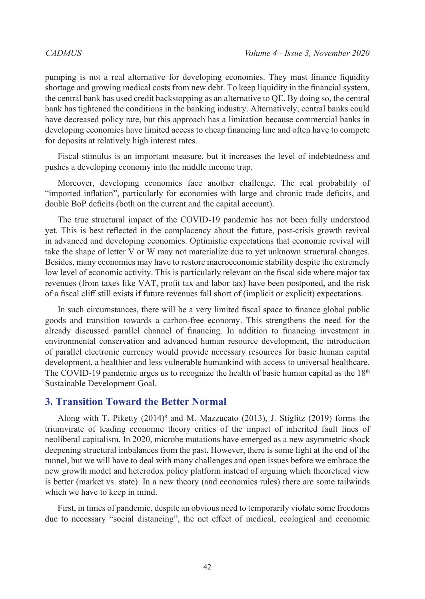pumping is not a real alternative for developing economies. They must finance liquidity shortage and growing medical costs from new debt. To keep liquidity in the financial system, the central bank has used credit backstopping as an alternative to QE. By doing so, the central bank has tightened the conditions in the banking industry. Alternatively, central banks could have decreased policy rate, but this approach has a limitation because commercial banks in developing economies have limited access to cheap financing line and often have to compete for deposits at relatively high interest rates.

Fiscal stimulus is an important measure, but it increases the level of indebtedness and pushes a developing economy into the middle income trap.

Moreover, developing economies face another challenge. The real probability of "imported inflation", particularly for economies with large and chronic trade deficits, and double BoP deficits (both on the current and the capital account).

The true structural impact of the COVID-19 pandemic has not been fully understood yet. This is best reflected in the complacency about the future, post-crisis growth revival in advanced and developing economies. Optimistic expectations that economic revival will take the shape of letter V or W may not materialize due to yet unknown structural changes. Besides, many economies may have to restore macroeconomic stability despite the extremely low level of economic activity. This is particularly relevant on the fiscal side where major tax revenues (from taxes like VAT, profit tax and labor tax) have been postponed, and the risk of a fiscal cliff still exists if future revenues fall short of (implicit or explicit) expectations.

In such circumstances, there will be a very limited fiscal space to finance global public goods and transition towards a carbon-free economy. This strengthens the need for the already discussed parallel channel of financing. In addition to financing investment in environmental conservation and advanced human resource development, the introduction of parallel electronic currency would provide necessary resources for basic human capital development, a healthier and less vulnerable humankind with access to universal healthcare. The COVID-19 pandemic urges us to recognize the health of basic human capital as the  $18<sup>th</sup>$ Sustainable Development Goal.

### **3. Transition Toward the Better Normal**

Along with T. Piketty (2014)<sup>[8](#page-12-7)</sup> and M. Mazzucato (2013), J. Stiglitz (2019) forms the triumvirate of leading economic theory critics of the impact of inherited fault lines of neoliberal capitalism. In 2020, microbe mutations have emerged as a new asymmetric shock deepening structural imbalances from the past. However, there is some light at the end of the tunnel, but we will have to deal with many challenges and open issues before we embrace the new growth model and heterodox policy platform instead of arguing which theoretical view is better (market vs. state). In a new theory (and economics rules) there are some tailwinds which we have to keep in mind.

First, in times of pandemic, despite an obvious need to temporarily violate some freedoms due to necessary "social distancing", the net effect of medical, ecological and economic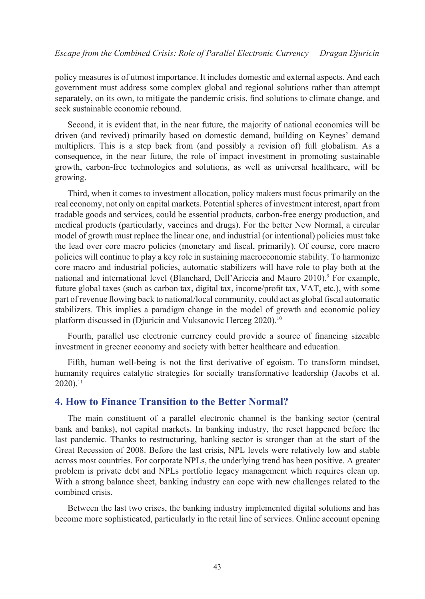policy measures is of utmost importance. It includes domestic and external aspects. And each government must address some complex global and regional solutions rather than attempt separately, on its own, to mitigate the pandemic crisis, find solutions to climate change, and seek sustainable economic rebound.

Second, it is evident that, in the near future, the majority of national economies will be driven (and revived) primarily based on domestic demand, building on Keynes' demand multipliers. This is a step back from (and possibly a revision of) full globalism. As a consequence, in the near future, the role of impact investment in promoting sustainable growth, carbon-free technologies and solutions, as well as universal healthcare, will be growing.

Third, when it comes to investment allocation, policy makers must focus primarily on the real economy, not only on capital markets. Potential spheres of investment interest, apart from tradable goods and services, could be essential products, carbon-free energy production, and medical products (particularly, vaccines and drugs). For the better New Normal, a circular model of growth must replace the linear one, and industrial (or intentional) policies must take the lead over core macro policies (monetary and fiscal, primarily). Of course, core macro policies will continue to play a key role in sustaining macroeconomic stability. To harmonize core macro and industrial policies, automatic stabilizers will have role to play both at the national and international level (Blanchard, Dell'Ariccia and Mauro 2010).<sup>[9](#page-12-8)</sup> For example, future global taxes (such as carbon tax, digital tax, income/profit tax, VAT, etc.), with some part of revenue flowing back to national/local community, could act as global fiscal automatic stabilizers. This implies a paradigm change in the model of growth and economic policy platform discussed in (Djuricin and Vuksanovic Herceg 2020).<sup>[10](#page-12-9)</sup>

Fourth, parallel use electronic currency could provide a source of financing sizeable investment in greener economy and society with better healthcare and education.

Fifth, human well-being is not the first derivative of egoism. To transform mindset, humanity requires catalytic strategies for socially transformative leadership (Jacobs et al. 2020)[.11](#page-12-10)

#### **4. How to Finance Transition to the Better Normal?**

The main constituent of a parallel electronic channel is the banking sector (central bank and banks), not capital markets. In banking industry, the reset happened before the last pandemic. Thanks to restructuring, banking sector is stronger than at the start of the Great Recession of 2008. Before the last crisis, NPL levels were relatively low and stable across most countries. For corporate NPLs, the underlying trend has been positive. A greater problem is private debt and NPLs portfolio legacy management which requires clean up. With a strong balance sheet, banking industry can cope with new challenges related to the combined crisis.

Between the last two crises, the banking industry implemented digital solutions and has become more sophisticated, particularly in the retail line of services. Online account opening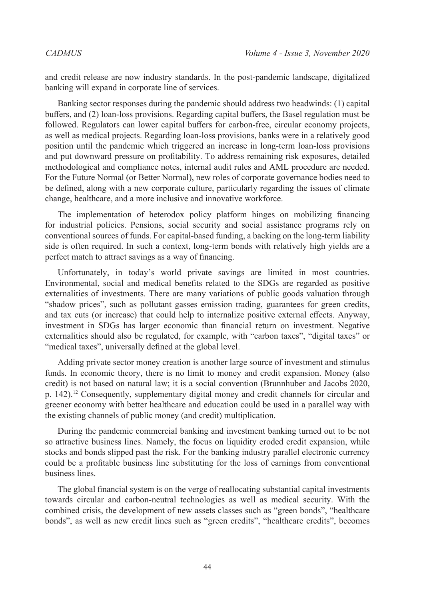and credit release are now industry standards. In the post-pandemic landscape, digitalized banking will expand in corporate line of services.

Banking sector responses during the pandemic should address two headwinds: (1) capital buffers, and (2) loan-loss provisions. Regarding capital buffers, the Basel regulation must be followed. Regulators can lower capital buffers for carbon-free, circular economy projects, as well as medical projects. Regarding loan-loss provisions, banks were in a relatively good position until the pandemic which triggered an increase in long-term loan-loss provisions and put downward pressure on profitability. To address remaining risk exposures, detailed methodological and compliance notes, internal audit rules and AML procedure are needed. For the Future Normal (or Better Normal), new roles of corporate governance bodies need to be defined, along with a new corporate culture, particularly regarding the issues of climate change, healthcare, and a more inclusive and innovative workforce.

The implementation of heterodox policy platform hinges on mobilizing financing for industrial policies. Pensions, social security and social assistance programs rely on conventional sources of funds. For capital-based funding, a backing on the long-term liability side is often required. In such a context, long-term bonds with relatively high yields are a perfect match to attract savings as a way of financing.

Unfortunately, in today's world private savings are limited in most countries. Environmental, social and medical benefits related to the SDGs are regarded as positive externalities of investments. There are many variations of public goods valuation through "shadow prices", such as pollutant gasses emission trading, guarantees for green credits, and tax cuts (or increase) that could help to internalize positive external effects. Anyway, investment in SDGs has larger economic than financial return on investment. Negative externalities should also be regulated, for example, with "carbon taxes", "digital taxes" or "medical taxes", universally defined at the global level.

Adding private sector money creation is another large source of investment and stimulus funds. In economic theory, there is no limit to money and credit expansion. Money (also credit) is not based on natural law; it is a social convention (Brunnhuber and Jacobs 2020, p. 142).[12](#page-12-11) Consequently, supplementary digital money and credit channels for circular and greener economy with better healthcare and education could be used in a parallel way with the existing channels of public money (and credit) multiplication.

During the pandemic commercial banking and investment banking turned out to be not so attractive business lines. Namely, the focus on liquidity eroded credit expansion, while stocks and bonds slipped past the risk. For the banking industry parallel electronic currency could be a profitable business line substituting for the loss of earnings from conventional business lines.

The global financial system is on the verge of reallocating substantial capital investments towards circular and carbon-neutral technologies as well as medical security. With the combined crisis, the development of new assets classes such as "green bonds", "healthcare bonds", as well as new credit lines such as "green credits", "healthcare credits", becomes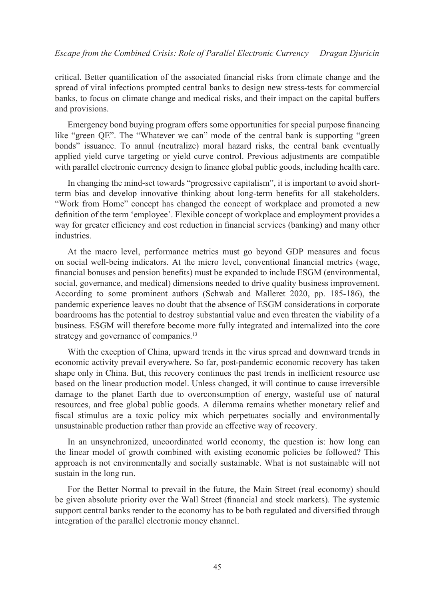critical. Better quantification of the associated financial risks from climate change and the spread of viral infections prompted central banks to design new stress-tests for commercial banks, to focus on climate change and medical risks, and their impact on the capital buffers and provisions.

Emergency bond buying program offers some opportunities for special purpose financing like "green QE". The "Whatever we can" mode of the central bank is supporting "green bonds" issuance. To annul (neutralize) moral hazard risks, the central bank eventually applied yield curve targeting or yield curve control. Previous adjustments are compatible with parallel electronic currency design to finance global public goods, including health care.

In changing the mind-set towards "progressive capitalism", it is important to avoid shortterm bias and develop innovative thinking about long-term benefits for all stakeholders. "Work from Home" concept has changed the concept of workplace and promoted a new definition of the term 'employee'. Flexible concept of workplace and employment provides a way for greater efficiency and cost reduction in financial services (banking) and many other industries.

At the macro level, performance metrics must go beyond GDP measures and focus on social well-being indicators. At the micro level, conventional financial metrics (wage, financial bonuses and pension benefits) must be expanded to include ESGM (environmental, social, governance, and medical) dimensions needed to drive quality business improvement. According to some prominent authors (Schwab and Malleret 2020, pp. 185-186), the pandemic experience leaves no doubt that the absence of ESGM considerations in corporate boardrooms has the potential to destroy substantial value and even threaten the viability of a business. ESGM will therefore become more fully integrated and internalized into the core strategy and governance of companies.<sup>13</sup>

With the exception of China, upward trends in the virus spread and downward trends in economic activity prevail everywhere. So far, post-pandemic economic recovery has taken shape only in China. But, this recovery continues the past trends in inefficient resource use based on the linear production model. Unless changed, it will continue to cause irreversible damage to the planet Earth due to overconsumption of energy, wasteful use of natural resources, and free global public goods. A dilemma remains whether monetary relief and fiscal stimulus are a toxic policy mix which perpetuates socially and environmentally unsustainable production rather than provide an effective way of recovery.

In an unsynchronized, uncoordinated world economy, the question is: how long can the linear model of growth combined with existing economic policies be followed? This approach is not environmentally and socially sustainable. What is not sustainable will not sustain in the long run.

For the Better Normal to prevail in the future, the Main Street (real economy) should be given absolute priority over the Wall Street (financial and stock markets). The systemic support central banks render to the economy has to be both regulated and diversified through integration of the parallel electronic money channel.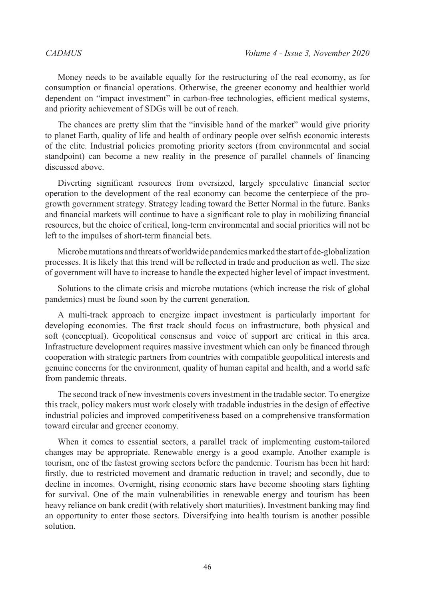Money needs to be available equally for the restructuring of the real economy, as for consumption or financial operations. Otherwise, the greener economy and healthier world dependent on "impact investment" in carbon-free technologies, efficient medical systems, and priority achievement of SDGs will be out of reach.

The chances are pretty slim that the "invisible hand of the market" would give priority to planet Earth, quality of life and health of ordinary people over selfish economic interests of the elite. Industrial policies promoting priority sectors (from environmental and social standpoint) can become a new reality in the presence of parallel channels of financing discussed above.

Diverting significant resources from oversized, largely speculative financial sector operation to the development of the real economy can become the centerpiece of the progrowth government strategy. Strategy leading toward the Better Normal in the future. Banks and financial markets will continue to have a significant role to play in mobilizing financial resources, but the choice of critical, long-term environmental and social priorities will not be left to the impulses of short-term financial bets.

Microbe mutations and threats of worldwide pandemics marked the start of de-globalization processes. It is likely that this trend will be reflected in trade and production as well. The size of government will have to increase to handle the expected higher level of impact investment.

Solutions to the climate crisis and microbe mutations (which increase the risk of global pandemics) must be found soon by the current generation.

A multi-track approach to energize impact investment is particularly important for developing economies. The first track should focus on infrastructure, both physical and soft (conceptual). Geopolitical consensus and voice of support are critical in this area. Infrastructure development requires massive investment which can only be financed through cooperation with strategic partners from countries with compatible geopolitical interests and genuine concerns for the environment, quality of human capital and health, and a world safe from pandemic threats.

The second track of new investments covers investment in the tradable sector. To energize this track, policy makers must work closely with tradable industries in the design of effective industrial policies and improved competitiveness based on a comprehensive transformation toward circular and greener economy.

When it comes to essential sectors, a parallel track of implementing custom-tailored changes may be appropriate. Renewable energy is a good example. Another example is tourism, one of the fastest growing sectors before the pandemic. Tourism has been hit hard: firstly, due to restricted movement and dramatic reduction in travel; and secondly, due to decline in incomes. Overnight, rising economic stars have become shooting stars fighting for survival. One of the main vulnerabilities in renewable energy and tourism has been heavy reliance on bank credit (with relatively short maturities). Investment banking may find an opportunity to enter those sectors. Diversifying into health tourism is another possible solution.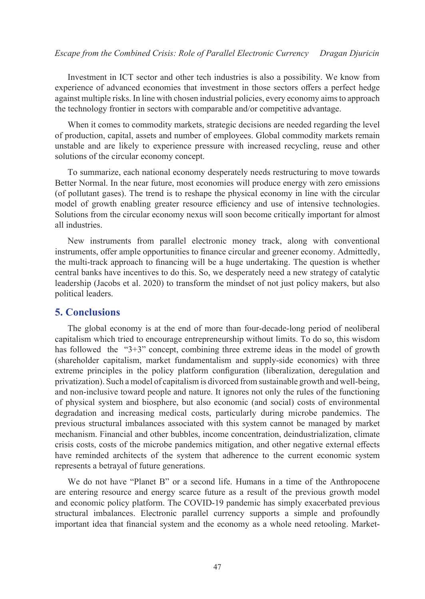Investment in ICT sector and other tech industries is also a possibility. We know from experience of advanced economies that investment in those sectors offers a perfect hedge against multiple risks. In line with chosen industrial policies, every economy aims to approach the technology frontier in sectors with comparable and/or competitive advantage.

When it comes to commodity markets, strategic decisions are needed regarding the level of production, capital, assets and number of employees. Global commodity markets remain unstable and are likely to experience pressure with increased recycling, reuse and other solutions of the circular economy concept.

To summarize, each national economy desperately needs restructuring to move towards Better Normal. In the near future, most economies will produce energy with zero emissions (of pollutant gases). The trend is to reshape the physical economy in line with the circular model of growth enabling greater resource efficiency and use of intensive technologies. Solutions from the circular economy nexus will soon become critically important for almost all industries.

New instruments from parallel electronic money track, along with conventional instruments, offer ample opportunities to finance circular and greener economy. Admittedly, the multi-track approach to financing will be a huge undertaking. The question is whether central banks have incentives to do this. So, we desperately need a new strategy of catalytic leadership (Jacobs et al. 2020) to transform the mindset of not just policy makers, but also political leaders.

### **5. Conclusions**

The global economy is at the end of more than four-decade-long period of neoliberal capitalism which tried to encourage entrepreneurship without limits. To do so, this wisdom has followed the "3+3" concept, combining three extreme ideas in the model of growth (shareholder capitalism, market fundamentalism and supply-side economics) with three extreme principles in the policy platform configuration (liberalization, deregulation and privatization). Such a model of capitalism is divorced from sustainable growth and well-being, and non-inclusive toward people and nature. It ignores not only the rules of the functioning of physical system and biosphere, but also economic (and social) costs of environmental degradation and increasing medical costs, particularly during microbe pandemics. The previous structural imbalances associated with this system cannot be managed by market mechanism. Financial and other bubbles, income concentration, deindustrialization, climate crisis costs, costs of the microbe pandemics mitigation, and other negative external effects have reminded architects of the system that adherence to the current economic system represents a betrayal of future generations.

We do not have "Planet B" or a second life. Humans in a time of the Anthropocene are entering resource and energy scarce future as a result of the previous growth model and economic policy platform. The COVID-19 pandemic has simply exacerbated previous structural imbalances. Electronic parallel currency supports a simple and profoundly important idea that financial system and the economy as a whole need retooling. Market-